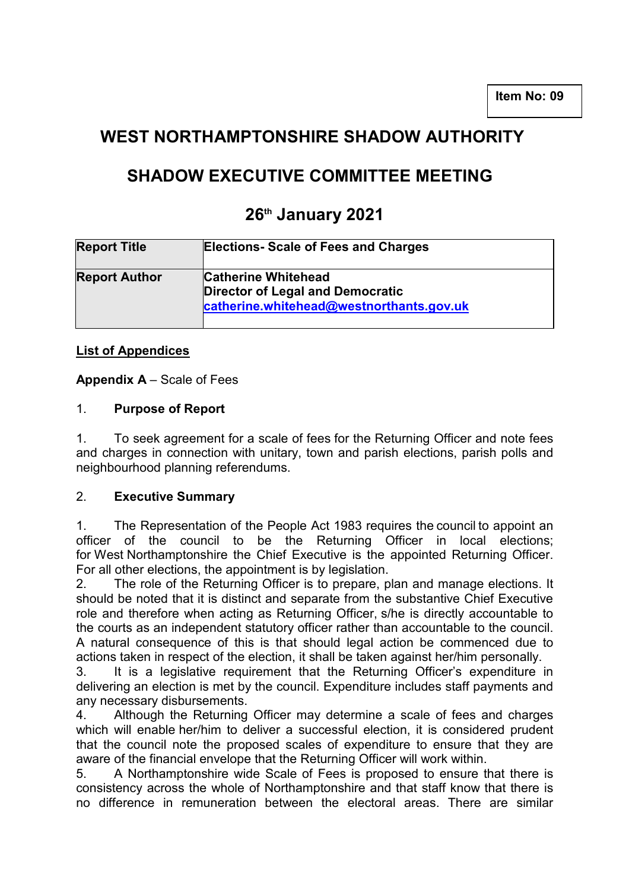## **WEST NORTHAMPTONSHIRE SHADOW AUTHORITY**

# **SHADOW EXECUTIVE COMMITTEE MEETING**

## **26th January 2021**

| <b>Report Title</b>  | <b>Elections- Scale of Fees and Charges</b>                                                                       |
|----------------------|-------------------------------------------------------------------------------------------------------------------|
| <b>Report Author</b> | <b>Catherine Whitehead</b><br><b>Director of Legal and Democratic</b><br>catherine.whitehead@westnorthants.gov.uk |

## **List of Appendices**

**Appendix A** – Scale of Fees

## 1. **Purpose of Report**

1. To seek agreement for a scale of fees for the Returning Officer and note fees and charges in connection with unitary, town and parish elections, parish polls and neighbourhood planning referendums.

## 2. **Executive Summary**

1. The Representation of the People Act 1983 requires the council to appoint an officer of the council to be the Returning Officer in local elections; for West Northamptonshire the Chief Executive is the appointed Returning Officer. For all other elections, the appointment is by legislation.

2. The role of the Returning Officer is to prepare, plan and manage elections. It should be noted that it is distinct and separate from the substantive Chief Executive role and therefore when acting as Returning Officer, s/he is directly accountable to the courts as an independent statutory officer rather than accountable to the council. A natural consequence of this is that should legal action be commenced due to actions taken in respect of the election, it shall be taken against her/him personally.

3. It is a legislative requirement that the Returning Officer's expenditure in delivering an election is met by the council. Expenditure includes staff payments and any necessary disbursements.

4. Although the Returning Officer may determine a scale of fees and charges which will enable her/him to deliver a successful election, it is considered prudent that the council note the proposed scales of expenditure to ensure that they are aware of the financial envelope that the Returning Officer will work within.

5. A Northamptonshire wide Scale of Fees is proposed to ensure that there is consistency across the whole of Northamptonshire and that staff know that there is no difference in remuneration between the electoral areas. There are similar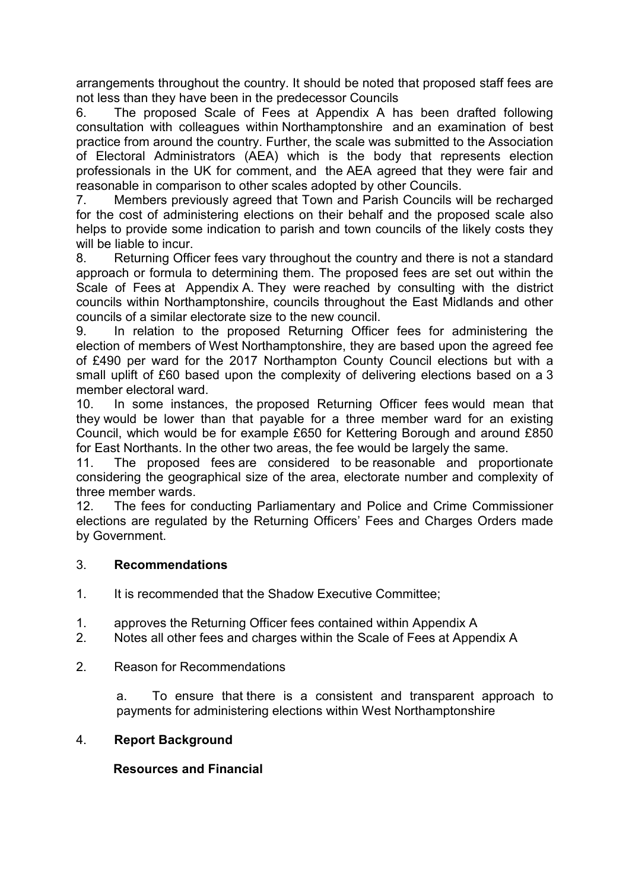arrangements throughout the country. It should be noted that proposed staff fees are not less than they have been in the predecessor Councils

6. The proposed Scale of Fees at Appendix A has been drafted following consultation with colleagues within Northamptonshire and an examination of best practice from around the country. Further, the scale was submitted to the Association of Electoral Administrators (AEA) which is the body that represents election professionals in the UK for comment, and the AEA agreed that they were fair and reasonable in comparison to other scales adopted by other Councils.

7. Members previously agreed that Town and Parish Councils will be recharged for the cost of administering elections on their behalf and the proposed scale also helps to provide some indication to parish and town councils of the likely costs they will be liable to incur.

8. Returning Officer fees vary throughout the country and there is not a standard approach or formula to determining them. The proposed fees are set out within the Scale of Fees at Appendix A. They were reached by consulting with the district councils within Northamptonshire, councils throughout the East Midlands and other councils of a similar electorate size to the new council.

9. In relation to the proposed Returning Officer fees for administering the election of members of West Northamptonshire, they are based upon the agreed fee of £490 per ward for the 2017 Northampton County Council elections but with a small uplift of £60 based upon the complexity of delivering elections based on a 3 member electoral ward.

10. In some instances, the proposed Returning Officer fees would mean that they would be lower than that payable for a three member ward for an existing Council, which would be for example £650 for Kettering Borough and around £850 for East Northants. In the other two areas, the fee would be largely the same.

11. The proposed fees are considered to be reasonable and proportionate considering the geographical size of the area, electorate number and complexity of three member wards.

12. The fees for conducting Parliamentary and Police and Crime Commissioner elections are regulated by the Returning Officers' Fees and Charges Orders made by Government.

#### 3. **Recommendations**

- 1. It is recommended that the Shadow Executive Committee;
- 1. approves the Returning Officer fees contained within Appendix A
- 2. Notes all other fees and charges within the Scale of Fees at Appendix A
- 2. Reason for Recommendations

a. To ensure that there is a consistent and transparent approach to payments for administering elections within West Northamptonshire

#### 4. **Report Background**

## **Resources and Financial**